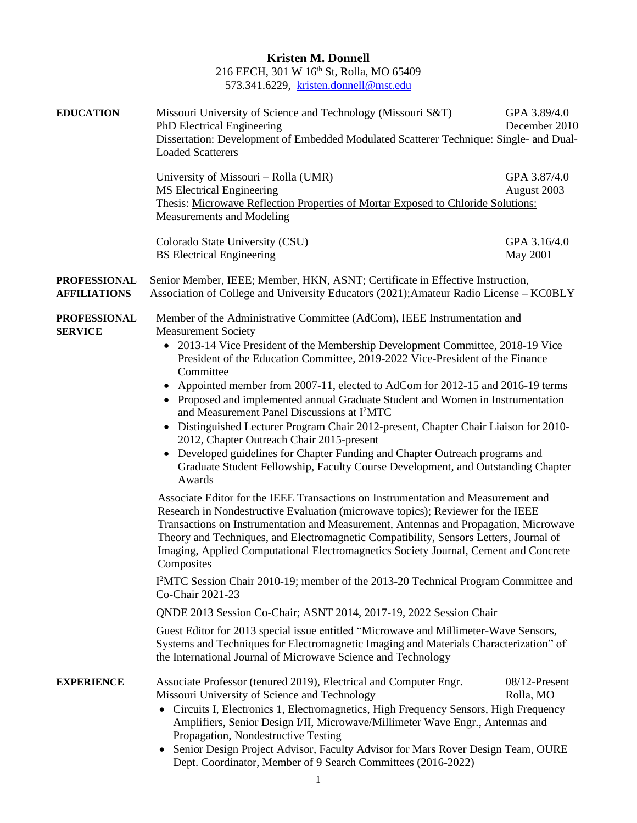**Kristen M. Donnell** 216 EECH, 301 W 16th St, Rolla, MO 65409 573.341.6229, [kristen.donnell@mst.edu](mailto:kristen.donnell@mst.edu)

| <b>EDUCATION</b>                           | Missouri University of Science and Technology (Missouri S&T)<br>PhD Electrical Engineering<br>Dissertation: Development of Embedded Modulated Scatterer Technique: Single- and Dual-<br><b>Loaded Scatterers</b>                                                                                                                                                                                                                                                                                                                                                                                                                                                                                                                                                                                                                                                                                                                                                                                                                                                                                                                                                                                                                                                                        | GPA 3.89/4.0<br>December 2010 |  |
|--------------------------------------------|-----------------------------------------------------------------------------------------------------------------------------------------------------------------------------------------------------------------------------------------------------------------------------------------------------------------------------------------------------------------------------------------------------------------------------------------------------------------------------------------------------------------------------------------------------------------------------------------------------------------------------------------------------------------------------------------------------------------------------------------------------------------------------------------------------------------------------------------------------------------------------------------------------------------------------------------------------------------------------------------------------------------------------------------------------------------------------------------------------------------------------------------------------------------------------------------------------------------------------------------------------------------------------------------|-------------------------------|--|
|                                            | University of Missouri – Rolla (UMR)<br><b>MS Electrical Engineering</b><br>Thesis: Microwave Reflection Properties of Mortar Exposed to Chloride Solutions:<br><b>Measurements and Modeling</b>                                                                                                                                                                                                                                                                                                                                                                                                                                                                                                                                                                                                                                                                                                                                                                                                                                                                                                                                                                                                                                                                                        | GPA 3.87/4.0<br>August 2003   |  |
|                                            | Colorado State University (CSU)<br><b>BS</b> Electrical Engineering                                                                                                                                                                                                                                                                                                                                                                                                                                                                                                                                                                                                                                                                                                                                                                                                                                                                                                                                                                                                                                                                                                                                                                                                                     | GPA 3.16/4.0<br>May 2001      |  |
| <b>PROFESSIONAL</b><br><b>AFFILIATIONS</b> | Senior Member, IEEE; Member, HKN, ASNT; Certificate in Effective Instruction,<br>Association of College and University Educators (2021); Amateur Radio License – KC0BLY                                                                                                                                                                                                                                                                                                                                                                                                                                                                                                                                                                                                                                                                                                                                                                                                                                                                                                                                                                                                                                                                                                                 |                               |  |
| <b>PROFESSIONAL</b><br><b>SERVICE</b>      | Member of the Administrative Committee (AdCom), IEEE Instrumentation and<br><b>Measurement Society</b><br>• 2013-14 Vice President of the Membership Development Committee, 2018-19 Vice<br>President of the Education Committee, 2019-2022 Vice-President of the Finance<br>Committee<br>Appointed member from 2007-11, elected to AdCom for 2012-15 and 2016-19 terms<br>• Proposed and implemented annual Graduate Student and Women in Instrumentation<br>and Measurement Panel Discussions at I <sup>2</sup> MTC<br>• Distinguished Lecturer Program Chair 2012-present, Chapter Chair Liaison for 2010-<br>2012, Chapter Outreach Chair 2015-present<br>Developed guidelines for Chapter Funding and Chapter Outreach programs and<br>Graduate Student Fellowship, Faculty Course Development, and Outstanding Chapter<br>Awards<br>Associate Editor for the IEEE Transactions on Instrumentation and Measurement and<br>Research in Nondestructive Evaluation (microwave topics); Reviewer for the IEEE<br>Transactions on Instrumentation and Measurement, Antennas and Propagation, Microwave<br>Theory and Techniques, and Electromagnetic Compatibility, Sensors Letters, Journal of<br>Imaging, Applied Computational Electromagnetics Society Journal, Cement and Concrete |                               |  |
|                                            | Composites<br>I <sup>2</sup> MTC Session Chair 2010-19; member of the 2013-20 Technical Program Committee and<br>Co-Chair 2021-23                                                                                                                                                                                                                                                                                                                                                                                                                                                                                                                                                                                                                                                                                                                                                                                                                                                                                                                                                                                                                                                                                                                                                       |                               |  |
|                                            | QNDE 2013 Session Co-Chair; ASNT 2014, 2017-19, 2022 Session Chair                                                                                                                                                                                                                                                                                                                                                                                                                                                                                                                                                                                                                                                                                                                                                                                                                                                                                                                                                                                                                                                                                                                                                                                                                      |                               |  |
|                                            | Guest Editor for 2013 special issue entitled "Microwave and Millimeter-Wave Sensors,<br>Systems and Techniques for Electromagnetic Imaging and Materials Characterization" of<br>the International Journal of Microwave Science and Technology                                                                                                                                                                                                                                                                                                                                                                                                                                                                                                                                                                                                                                                                                                                                                                                                                                                                                                                                                                                                                                          |                               |  |
| <b>EXPERIENCE</b>                          | Associate Professor (tenured 2019), Electrical and Computer Engr.<br>Missouri University of Science and Technology<br>• Circuits I, Electronics 1, Electromagnetics, High Frequency Sensors, High Frequency<br>Amplifiers, Senior Design I/II, Microwave/Millimeter Wave Engr., Antennas and<br>Propagation, Nondestructive Testing<br>Senior Design Project Advisor, Faculty Advisor for Mars Rover Design Team, OURE<br>Dept. Coordinator, Member of 9 Search Committees (2016-2022)                                                                                                                                                                                                                                                                                                                                                                                                                                                                                                                                                                                                                                                                                                                                                                                                  | 08/12-Present<br>Rolla, MO    |  |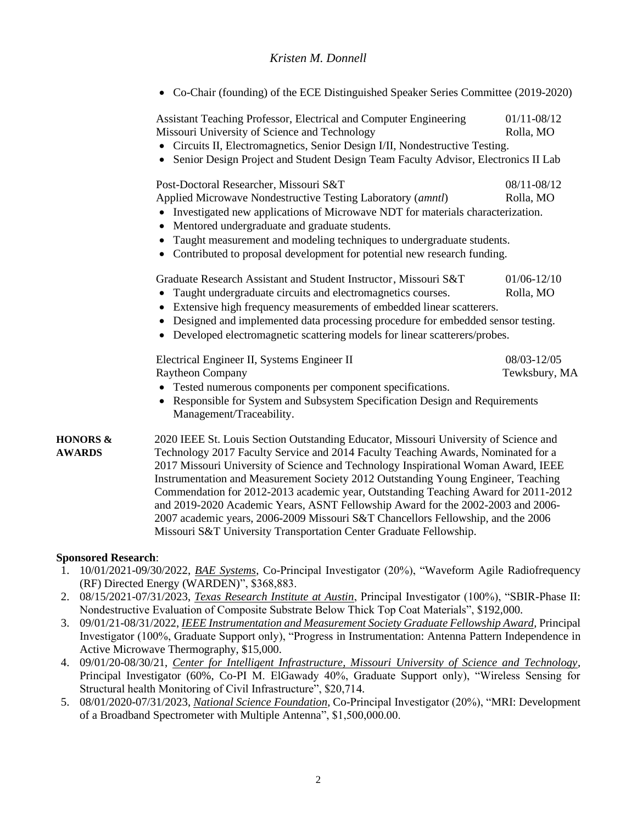• Co-Chair (founding) of the ECE Distinguished Speaker Series Committee (2019-2020)

Assistant Teaching Professor, Electrical and Computer Engineering 01/11-08/12 Missouri University of Science and Technology Rolla, MO

- Circuits II, Electromagnetics, Senior Design I/II, Nondestructive Testing.
- Senior Design Project and Student Design Team Faculty Advisor, Electronics II Lab

Post-Doctoral Researcher, Missouri S&T 08/11-08/12 Applied Microwave Nondestructive Testing Laboratory (*amntl*) Rolla, MO

- Investigated new applications of Microwave NDT for materials characterization.
- Mentored undergraduate and graduate students.
- Taught measurement and modeling techniques to undergraduate students.
- Contributed to proposal development for potential new research funding.

Graduate Research Assistant and Student Instructor, Missouri S&T 01/06-12/10

- Taught undergraduate circuits and electromagnetics courses. Rolla, MO
- Extensive high frequency measurements of embedded linear scatterers.
- Designed and implemented data processing procedure for embedded sensor testing.
- Developed electromagnetic scattering models for linear scatterers/probes.

| Electrical Engineer II, Systems Engineer II | 08/03-12/05   |
|---------------------------------------------|---------------|
| <b>Raytheon Company</b>                     | Tewksbury, MA |
|                                             |               |

- Tested numerous components per component specifications.
- Responsible for System and Subsystem Specification Design and Requirements Management/Traceability.

**HONORS &** 2020 IEEE St. Louis Section Outstanding Educator, Missouri University of Science and **AWARDS** Technology 2017 Faculty Service and 2014 Faculty Teaching Awards, Nominated for a 2017 Missouri University of Science and Technology Inspirational Woman Award, IEEE Instrumentation and Measurement Society 2012 Outstanding Young Engineer, Teaching Commendation for 2012-2013 academic year, Outstanding Teaching Award for 2011-2012 and 2019-2020 Academic Years, ASNT Fellowship Award for the 2002-2003 and 2006- 2007 academic years, 2006-2009 Missouri S&T Chancellors Fellowship, and the 2006 Missouri S&T University Transportation Center Graduate Fellowship.

#### **Sponsored Research**:

- 1. 10/01/2021-09/30/2022, *BAE Systems*, Co-Principal Investigator (20%), "Waveform Agile Radiofrequency (RF) Directed Energy (WARDEN)", \$368,883.
- 2. 08/15/2021-07/31/2023, *Texas Research Institute at Austin*, Principal Investigator (100%), "SBIR-Phase II: Nondestructive Evaluation of Composite Substrate Below Thick Top Coat Materials", \$192,000.
- 3. 09/01/21-08/31/2022, *IEEE Instrumentation and Measurement Society Graduate Fellowship Award*, Principal Investigator (100%, Graduate Support only), "Progress in Instrumentation: Antenna Pattern Independence in Active Microwave Thermography, \$15,000.
- 4. 09/01/20-08/30/21, *Center for Intelligent Infrastructure, Missouri University of Science and Technology*, Principal Investigator (60%, Co-PI M. ElGawady 40%, Graduate Support only), "Wireless Sensing for Structural health Monitoring of Civil Infrastructure", \$20,714.
- 5. 08/01/2020-07/31/2023, *National Science Foundation*, Co-Principal Investigator (20%), "MRI: Development of a Broadband Spectrometer with Multiple Antenna", \$1,500,000.00.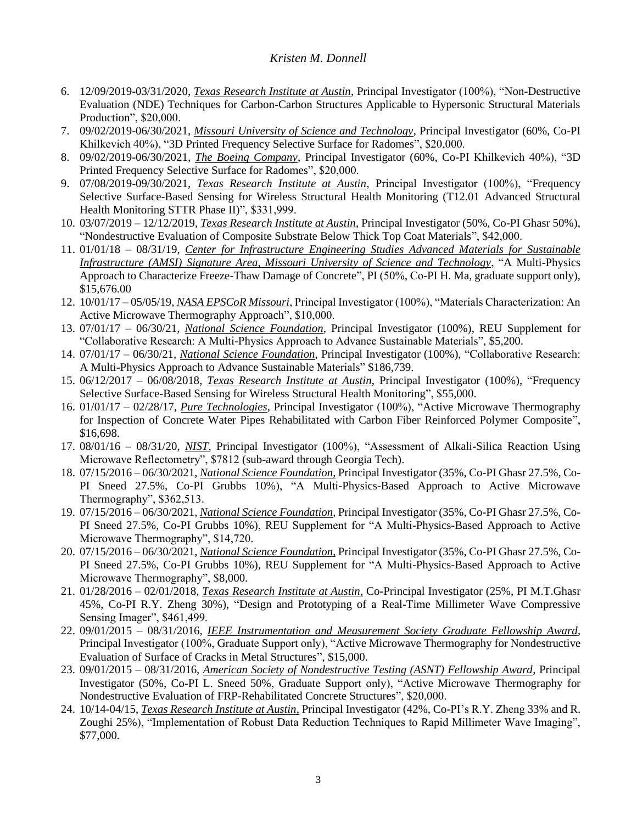- 6. 12/09/2019-03/31/2020, *Texas Research Institute at Austin*, Principal Investigator (100%), "Non-Destructive Evaluation (NDE) Techniques for Carbon-Carbon Structures Applicable to Hypersonic Structural Materials Production", \$20,000.
- 7. 09/02/2019-06/30/2021, *Missouri University of Science and Technology*, Principal Investigator (60%, Co-PI Khilkevich 40%), "3D Printed Frequency Selective Surface for Radomes", \$20,000.
- 8. 09/02/2019-06/30/2021, *The Boeing Company*, Principal Investigator (60%, Co-PI Khilkevich 40%), "3D Printed Frequency Selective Surface for Radomes", \$20,000.
- 9. 07/08/2019-09/30/2021, *Texas Research Institute at Austin*, Principal Investigator (100%), "Frequency Selective Surface-Based Sensing for Wireless Structural Health Monitoring (T12.01 Advanced Structural Health Monitoring STTR Phase II)", \$331,999.
- 10. 03/07/2019 12/12/2019, *Texas Research Institute at Austin*, Principal Investigator (50%, Co-PI Ghasr 50%), "Nondestructive Evaluation of Composite Substrate Below Thick Top Coat Materials", \$42,000.
- 11. 01/01/18 08/31/19, *Center for Infrastructure Engineering Studies Advanced Materials for Sustainable Infrastructure (AMSI) Signature Area, Missouri University of Science and Technology*, "A Multi-Physics Approach to Characterize Freeze-Thaw Damage of Concrete", PI (50%, Co-PI H. Ma, graduate support only), \$15,676.00
- 12. 10/01/17 05/05/19, *NASA EPSCoR Missouri*, Principal Investigator (100%), "Materials Characterization: An Active Microwave Thermography Approach", \$10,000.
- 13. 07/01/17 06/30/21, *National Science Foundation*, Principal Investigator (100%), REU Supplement for "Collaborative Research: A Multi-Physics Approach to Advance Sustainable Materials", \$5,200.
- 14. 07/01/17 06/30/21, *National Science Foundation*, Principal Investigator (100%), "Collaborative Research: A Multi-Physics Approach to Advance Sustainable Materials" \$186,739.
- 15. 06/12/2017 06/08/2018, *Texas Research Institute at Austin*, Principal Investigator (100%), "Frequency Selective Surface-Based Sensing for Wireless Structural Health Monitoring", \$55,000.
- 16. 01/01/17 02/28/17, *Pure Technologies*, Principal Investigator (100%), "Active Microwave Thermography for Inspection of Concrete Water Pipes Rehabilitated with Carbon Fiber Reinforced Polymer Composite", \$16,698.
- 17. 08/01/16 08/31/20, *NIST*, Principal Investigator (100%), "Assessment of Alkali-Silica Reaction Using Microwave Reflectometry", \$7812 (sub-award through Georgia Tech).
- 18. 07/15/2016 06/30/2021, *National Science Foundation*, Principal Investigator (35%, Co-PI Ghasr 27.5%, Co-PI Sneed 27.5%, Co-PI Grubbs 10%), "A Multi-Physics-Based Approach to Active Microwave Thermography", \$362,513.
- 19. 07/15/2016 06/30/2021, *National Science Foundation*, Principal Investigator (35%, Co-PI Ghasr 27.5%, Co-PI Sneed 27.5%, Co-PI Grubbs 10%), REU Supplement for "A Multi-Physics-Based Approach to Active Microwave Thermography", \$14,720.
- 20. 07/15/2016 06/30/2021, *National Science Foundation*, Principal Investigator (35%, Co-PI Ghasr 27.5%, Co-PI Sneed 27.5%, Co-PI Grubbs 10%), REU Supplement for "A Multi-Physics-Based Approach to Active Microwave Thermography", \$8,000.
- 21. 01/28/2016 02/01/2018, *Texas Research Institute at Austin*, Co-Principal Investigator (25%, PI M.T.Ghasr 45%, Co-PI R.Y. Zheng 30%), "Design and Prototyping of a Real-Time Millimeter Wave Compressive Sensing Imager", \$461,499.
- 22. 09/01/2015 08/31/2016, *IEEE Instrumentation and Measurement Society Graduate Fellowship Award*, Principal Investigator (100%, Graduate Support only), "Active Microwave Thermography for Nondestructive Evaluation of Surface of Cracks in Metal Structures", \$15,000.
- 23. 09/01/2015 08/31/2016, *American Society of Nondestructive Testing (ASNT) Fellowship Award*, Principal Investigator (50%, Co-PI L. Sneed 50%, Graduate Support only), "Active Microwave Thermography for Nondestructive Evaluation of FRP-Rehabilitated Concrete Structures", \$20,000.
- 24. 10/14-04/15, *Texas Research Institute at Austin*, Principal Investigator (42%, Co-PI's R.Y. Zheng 33% and R. Zoughi 25%), "Implementation of Robust Data Reduction Techniques to Rapid Millimeter Wave Imaging", \$77,000.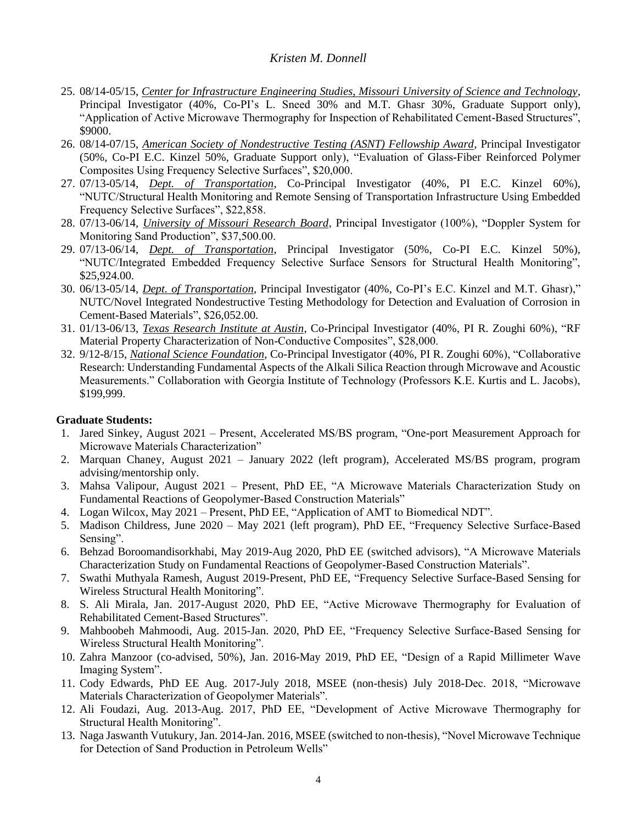- 25. 08/14-05/15, *Center for Infrastructure Engineering Studies, Missouri University of Science and Technology*, Principal Investigator (40%, Co-PI's L. Sneed 30% and M.T. Ghasr 30%, Graduate Support only), "Application of Active Microwave Thermography for Inspection of Rehabilitated Cement-Based Structures", \$9000.
- 26. 08/14-07/15, *American Society of Nondestructive Testing (ASNT) Fellowship Award*, Principal Investigator (50%, Co-PI E.C. Kinzel 50%, Graduate Support only), "Evaluation of Glass-Fiber Reinforced Polymer Composites Using Frequency Selective Surfaces", \$20,000.
- 27. 07/13-05/14, *Dept. of Transportation*, Co-Principal Investigator (40%, PI E.C. Kinzel 60%), "NUTC/Structural Health Monitoring and Remote Sensing of Transportation Infrastructure Using Embedded Frequency Selective Surfaces", \$22,858.
- 28. 07/13-06/14, *University of Missouri Research Board*, Principal Investigator (100%), "Doppler System for Monitoring Sand Production", \$37,500.00.
- 29. 07/13-06/14, *Dept. of Transportation*, Principal Investigator (50%, Co-PI E.C. Kinzel 50%), "NUTC/Integrated Embedded Frequency Selective Surface Sensors for Structural Health Monitoring", \$25,924.00.
- 30. 06/13-05/14, *Dept. of Transportation*, Principal Investigator (40%, Co-PI's E.C. Kinzel and M.T. Ghasr)," NUTC/Novel Integrated Nondestructive Testing Methodology for Detection and Evaluation of Corrosion in Cement-Based Materials", \$26,052.00.
- 31. 01/13-06/13, *Texas Research Institute at Austin*, Co-Principal Investigator (40%, PI R. Zoughi 60%), "RF Material Property Characterization of Non-Conductive Composites", \$28,000.
- 32. 9/12-8/15, *National Science Foundation*, Co-Principal Investigator (40%, PI R. Zoughi 60%), "Collaborative Research: Understanding Fundamental Aspects of the Alkali Silica Reaction through Microwave and Acoustic Measurements." Collaboration with Georgia Institute of Technology (Professors K.E. Kurtis and L. Jacobs), \$199,999.

### **Graduate Students:**

- 1. Jared Sinkey, August 2021 Present, Accelerated MS/BS program, "One-port Measurement Approach for Microwave Materials Characterization"
- 2. Marquan Chaney, August 2021 January 2022 (left program), Accelerated MS/BS program, program advising/mentorship only.
- 3. Mahsa Valipour, August 2021 Present, PhD EE, "A Microwave Materials Characterization Study on Fundamental Reactions of Geopolymer-Based Construction Materials"
- 4. Logan Wilcox, May 2021 Present, PhD EE, "Application of AMT to Biomedical NDT".
- 5. Madison Childress, June 2020 May 2021 (left program), PhD EE, "Frequency Selective Surface-Based Sensing".
- 6. Behzad Boroomandisorkhabi, May 2019-Aug 2020, PhD EE (switched advisors), "A Microwave Materials Characterization Study on Fundamental Reactions of Geopolymer-Based Construction Materials".
- 7. Swathi Muthyala Ramesh, August 2019-Present, PhD EE, "Frequency Selective Surface-Based Sensing for Wireless Structural Health Monitoring".
- 8. S. Ali Mirala, Jan. 2017-August 2020, PhD EE, "Active Microwave Thermography for Evaluation of Rehabilitated Cement-Based Structures".
- 9. Mahboobeh Mahmoodi, Aug. 2015-Jan. 2020, PhD EE, "Frequency Selective Surface-Based Sensing for Wireless Structural Health Monitoring".
- 10. Zahra Manzoor (co-advised, 50%), Jan. 2016-May 2019, PhD EE, "Design of a Rapid Millimeter Wave Imaging System".
- 11. Cody Edwards, PhD EE Aug. 2017-July 2018, MSEE (non-thesis) July 2018-Dec. 2018, "Microwave Materials Characterization of Geopolymer Materials".
- 12. Ali Foudazi, Aug. 2013-Aug. 2017, PhD EE, "Development of Active Microwave Thermography for Structural Health Monitoring".
- 13. Naga Jaswanth Vutukury, Jan. 2014-Jan. 2016, MSEE (switched to non-thesis), "Novel Microwave Technique for Detection of Sand Production in Petroleum Wells"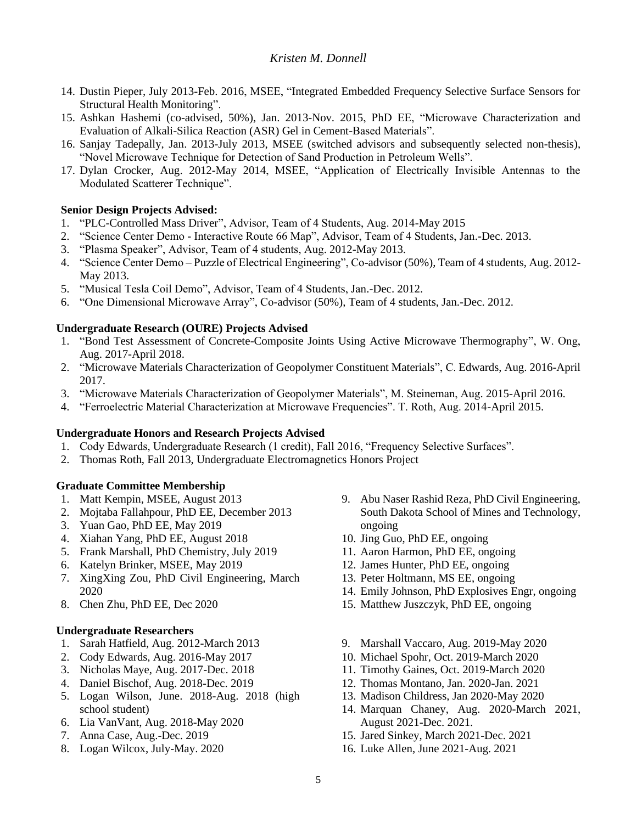- 14. Dustin Pieper, July 2013-Feb. 2016, MSEE, "Integrated Embedded Frequency Selective Surface Sensors for Structural Health Monitoring".
- 15. Ashkan Hashemi (co-advised, 50%), Jan. 2013-Nov. 2015, PhD EE, "Microwave Characterization and Evaluation of Alkali-Silica Reaction (ASR) Gel in Cement-Based Materials".
- 16. Sanjay Tadepally, Jan. 2013-July 2013, MSEE (switched advisors and subsequently selected non-thesis), "Novel Microwave Technique for Detection of Sand Production in Petroleum Wells".
- 17. Dylan Crocker, Aug. 2012-May 2014, MSEE, "Application of Electrically Invisible Antennas to the Modulated Scatterer Technique".

# **Senior Design Projects Advised:**

- 1. "PLC-Controlled Mass Driver", Advisor, Team of 4 Students, Aug. 2014-May 2015
- 2. "Science Center Demo Interactive Route 66 Map", Advisor, Team of 4 Students, Jan.-Dec. 2013.
- 3. "Plasma Speaker", Advisor, Team of 4 students, Aug. 2012-May 2013.
- 4. "Science Center Demo Puzzle of Electrical Engineering", Co-advisor (50%), Team of 4 students, Aug. 2012- May 2013.
- 5. "Musical Tesla Coil Demo", Advisor, Team of 4 Students, Jan.-Dec. 2012.
- 6. "One Dimensional Microwave Array", Co-advisor (50%), Team of 4 students, Jan.-Dec. 2012.

## **Undergraduate Research (OURE) Projects Advised**

- 1. "Bond Test Assessment of Concrete-Composite Joints Using Active Microwave Thermography", W. Ong, Aug. 2017-April 2018.
- 2. "Microwave Materials Characterization of Geopolymer Constituent Materials", C. Edwards, Aug. 2016-April 2017.
- 3. "Microwave Materials Characterization of Geopolymer Materials", M. Steineman, Aug. 2015-April 2016.
- 4. "Ferroelectric Material Characterization at Microwave Frequencies". T. Roth, Aug. 2014-April 2015.

### **Undergraduate Honors and Research Projects Advised**

- 1. Cody Edwards, Undergraduate Research (1 credit), Fall 2016, "Frequency Selective Surfaces".
- 2. Thomas Roth, Fall 2013, Undergraduate Electromagnetics Honors Project

# **Graduate Committee Membership**

- 1. Matt Kempin, MSEE, August 2013
- 2. Mojtaba Fallahpour, PhD EE, December 2013
- 3. Yuan Gao, PhD EE, May 2019
- 4. Xiahan Yang, PhD EE, August 2018
- 5. Frank Marshall, PhD Chemistry, July 2019
- 6. Katelyn Brinker, MSEE, May 2019
- 7. XingXing Zou, PhD Civil Engineering, March 2020
- 8. Chen Zhu, PhD EE, Dec 2020

### **Undergraduate Researchers**

- 1. Sarah Hatfield, Aug. 2012-March 2013
- 2. Cody Edwards, Aug. 2016-May 2017
- 3. Nicholas Maye, Aug. 2017-Dec. 2018
- 4. Daniel Bischof, Aug. 2018-Dec. 2019
- 5. Logan Wilson, June. 2018-Aug. 2018 (high school student)
- 6. Lia VanVant, Aug. 2018-May 2020
- 7. Anna Case, Aug.-Dec. 2019
- 8. Logan Wilcox, July-May. 2020
- 9. Abu Naser Rashid Reza, PhD Civil Engineering, South Dakota School of Mines and Technology, ongoing
- 10. Jing Guo, PhD EE, ongoing
- 11. Aaron Harmon, PhD EE, ongoing
- 12. James Hunter, PhD EE, ongoing
- 13. Peter Holtmann, MS EE, ongoing
- 14. Emily Johnson, PhD Explosives Engr, ongoing
- 15. Matthew Juszczyk, PhD EE, ongoing
- 9. Marshall Vaccaro, Aug. 2019-May 2020
- 10. Michael Spohr, Oct. 2019-March 2020
- 11. Timothy Gaines, Oct. 2019-March 2020
- 12. Thomas Montano, Jan. 2020-Jan. 2021
- 13. Madison Childress, Jan 2020-May 2020
- 14. Marquan Chaney, Aug. 2020-March 2021, August 2021-Dec. 2021.
- 15. Jared Sinkey, March 2021-Dec. 2021
- 16. Luke Allen, June 2021-Aug. 2021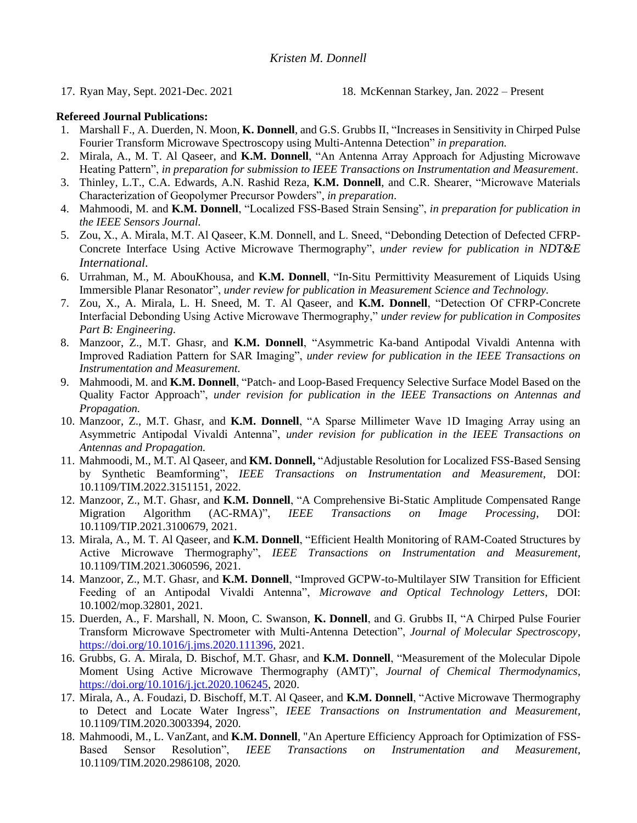17. Ryan May, Sept. 2021-Dec. 2021 18. McKennan Starkey, Jan. 2022 – Present

### **Refereed Journal Publications:**

- 1. Marshall F., A. Duerden, N. Moon, **K. Donnell**, and G.S. Grubbs II, "Increases in Sensitivity in Chirped Pulse Fourier Transform Microwave Spectroscopy using Multi-Antenna Detection" *in preparation.*
- 2. Mirala, A., M. T. Al Qaseer, and **K.M. Donnell**, "An Antenna Array Approach for Adjusting Microwave Heating Pattern", *in preparation for submission to IEEE Transactions on Instrumentation and Measurement*.
- 3. Thinley, L.T., C.A. Edwards, A.N. Rashid Reza, **K.M. Donnell**, and C.R. Shearer, "Microwave Materials Characterization of Geopolymer Precursor Powders", *in preparation*.
- 4. Mahmoodi, M. and **K.M. Donnell**, "Localized FSS-Based Strain Sensing", *in preparation for publication in the IEEE Sensors Journal.*
- 5. Zou, X., A. Mirala, M.T. Al Qaseer, K.M. Donnell, and L. Sneed, "Debonding Detection of Defected CFRP-Concrete Interface Using Active Microwave Thermography", *under review for publication in NDT&E International.*
- 6. Urrahman, M., M. AbouKhousa, and **K.M. Donnell**, "In-Situ Permittivity Measurement of Liquids Using Immersible Planar Resonator", *under review for publication in Measurement Science and Technology.*
- 7. Zou, X., A. Mirala, L. H. Sneed, M. T. Al Qaseer, and **K.M. Donnell**, "Detection Of CFRP-Concrete Interfacial Debonding Using Active Microwave Thermography," *under review for publication in Composites Part B: Engineering*.
- 8. Manzoor, Z., M.T. Ghasr, and **K.M. Donnell**, "Asymmetric Ka-band Antipodal Vivaldi Antenna with Improved Radiation Pattern for SAR Imaging", *under review for publication in the IEEE Transactions on Instrumentation and Measurement.*
- 9. Mahmoodi, M. and **K.M. Donnell**, "Patch- and Loop-Based Frequency Selective Surface Model Based on the Quality Factor Approach", *under revision for publication in the IEEE Transactions on Antennas and Propagation.*
- 10. Manzoor, Z., M.T. Ghasr, and **K.M. Donnell**, "A Sparse Millimeter Wave 1D Imaging Array using an Asymmetric Antipodal Vivaldi Antenna", *under revision for publication in the IEEE Transactions on Antennas and Propagation.*
- 11. Mahmoodi, M., M.T. Al Qaseer, and **KM. Donnell,** "Adjustable Resolution for Localized FSS-Based Sensing by Synthetic Beamforming", *IEEE Transactions on Instrumentation and Measurement*, DOI: 10.1109/TIM.2022.3151151*,* 2022.
- 12. Manzoor, Z., M.T. Ghasr, and **K.M. Donnell**, "A Comprehensive Bi-Static Amplitude Compensated Range Migration Algorithm (AC-RMA)", *IEEE Transactions on Image Processing*, DOI: 10.1109/TIP.2021.3100679, 2021.
- 13. Mirala, A., M. T. Al Qaseer, and **K.M. Donnell**, "Efficient Health Monitoring of RAM-Coated Structures by Active Microwave Thermography", *IEEE Transactions on Instrumentation and Measurement,* 10.1109/TIM.2021.3060596, 2021.
- 14. Manzoor, Z., M.T. Ghasr, and **K.M. Donnell**, "Improved GCPW-to-Multilayer SIW Transition for Efficient Feeding of an Antipodal Vivaldi Antenna", *Microwave and Optical Technology Letters*, DOI: 10.1002/mop.32801, 2021*.*
- 15. Duerden, A., F. Marshall, N. Moon, C. Swanson, **K. Donnell**, and G. Grubbs II, "A Chirped Pulse Fourier Transform Microwave Spectrometer with Multi-Antenna Detection", *Journal of Molecular Spectroscopy*, [https://doi.org/10.1016/j.jms.2020.111396,](https://doi.org/10.1016/j.jms.2020.111396) 2021.
- 16. Grubbs, G. A. Mirala, D. Bischof, M.T. Ghasr, and **K.M. Donnell**, "Measurement of the Molecular Dipole Moment Using Active Microwave Thermography (AMT)", *Journal of Chemical Thermodynamics*, [https://doi.org/10.1016/j.jct.2020.106245,](https://doi.org/10.1016/j.jct.2020.106245) 2020.
- 17. Mirala, A., A. Foudazi, D. Bischoff, M.T. Al Qaseer, and **K.M. Donnell**, "Active Microwave Thermography to Detect and Locate Water Ingress", *IEEE Transactions on Instrumentation and Measurement,*  10.1109/TIM.2020.3003394, 2020.
- 18. Mahmoodi, M., L. VanZant, and **K.M. Donnell**, "An Aperture Efficiency Approach for Optimization of FSS-Based Sensor Resolution", *IEEE Transactions on Instrumentation and Measurement*, 10.1109/TIM.2020.2986108, 2020*.*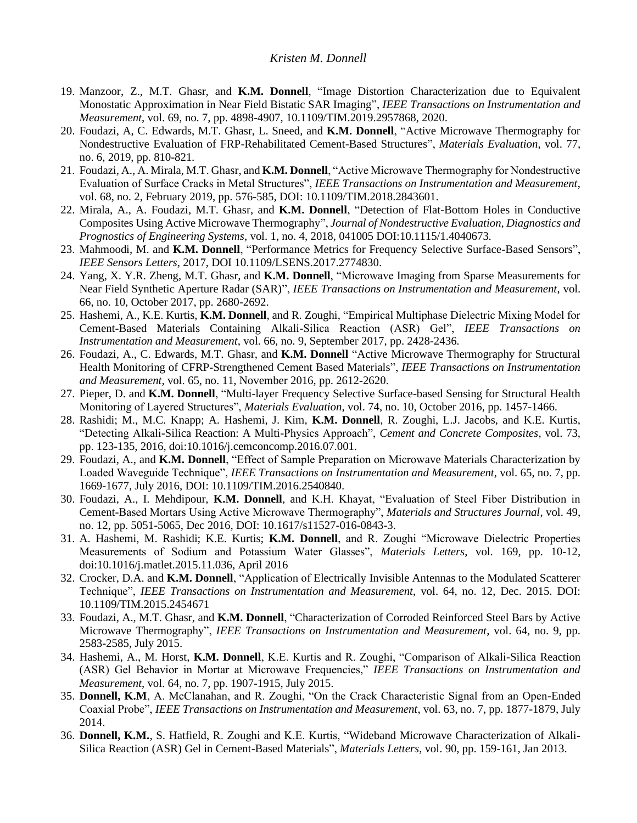- 19. Manzoor, Z., M.T. Ghasr, and **K.M. Donnell**, "Image Distortion Characterization due to Equivalent Monostatic Approximation in Near Field Bistatic SAR Imaging", *IEEE Transactions on Instrumentation and Measurement*, vol. 69, no. 7, pp. 4898-4907, 10.1109/TIM.2019.2957868, 2020.
- 20. Foudazi, A, C. Edwards, M.T. Ghasr, L. Sneed, and **K.M. Donnell**, "Active Microwave Thermography for Nondestructive Evaluation of FRP-Rehabilitated Cement-Based Structures", *Materials Evaluation*, vol. 77, no. 6, 2019, pp. 810-821*.*
- 21. Foudazi, A., A. Mirala, M.T. Ghasr, and **K.M. Donnell**, "Active Microwave Thermography for Nondestructive Evaluation of Surface Cracks in Metal Structures", *IEEE Transactions on Instrumentation and Measurement*, vol. 68, no. 2, February 2019, pp. 576-585, DOI: 10.1109/TIM.2018.2843601.
- 22. Mirala, A., A. Foudazi, M.T. Ghasr, and **K.M. Donnell**, "Detection of Flat-Bottom Holes in Conductive Composites Using Active Microwave Thermography", *Journal of Nondestructive Evaluation, Diagnostics and Prognostics of Engineering Systems*, vol. 1, no. 4, 2018, 041005 DOI:10.1115/1.4040673*.*
- 23. Mahmoodi, M. and **K.M. Donnell**, "Performance Metrics for Frequency Selective Surface-Based Sensors", *IEEE Sensors Letters*, 2017, DOI 10.1109/LSENS.2017.2774830.
- 24. Yang, X. Y.R. Zheng, M.T. Ghasr, and **K.M. Donnell**, "Microwave Imaging from Sparse Measurements for Near Field Synthetic Aperture Radar (SAR)", *IEEE Transactions on Instrumentation and Measurement*, vol. 66, no. 10, October 2017, pp. 2680-2692.
- 25. Hashemi, A., K.E. Kurtis, **K.M. Donnell**, and R. Zoughi, "Empirical Multiphase Dielectric Mixing Model for Cement-Based Materials Containing Alkali-Silica Reaction (ASR) Gel", *IEEE Transactions on Instrumentation and Measurement*, vol. 66, no. 9, September 2017, pp. 2428-2436.
- 26. Foudazi, A., C. Edwards, M.T. Ghasr, and **K.M. Donnell** "Active Microwave Thermography for Structural Health Monitoring of CFRP-Strengthened Cement Based Materials", *IEEE Transactions on Instrumentation and Measurement,* vol. 65, no. 11, November 2016, pp. 2612-2620.
- 27. Pieper, D. and **K.M. Donnell**, "Multi-layer Frequency Selective Surface-based Sensing for Structural Health Monitoring of Layered Structures", *Materials Evaluation*, vol. 74, no. 10, October 2016, pp. 1457-1466.
- 28. Rashidi; M., M.C. Knapp; A. Hashemi, J. Kim, **K.M. Donnell**, R. Zoughi, L.J. Jacobs, and K.E. Kurtis, "Detecting Alkali-Silica Reaction: A Multi-Physics Approach", *Cement and Concrete Composites,* vol. 73, pp. 123-135, 2016, doi:10.1016/j.cemconcomp.2016.07.001*.*
- 29. Foudazi, A., and **K.M. Donnell**, "Effect of Sample Preparation on Microwave Materials Characterization by Loaded Waveguide Technique", *IEEE Transactions on Instrumentation and Measurement*, vol. 65, no. 7, pp. 1669-1677, July 2016, DOI: 10.1109/TIM.2016.2540840.
- 30. Foudazi, A., I. Mehdipour, **K.M. Donnell**, and K.H. Khayat, "Evaluation of Steel Fiber Distribution in Cement-Based Mortars Using Active Microwave Thermography", *Materials and Structures Journal*, vol. 49, no. 12, pp. 5051-5065, Dec 2016, DOI: 10.1617/s11527-016-0843-3.
- 31. A. Hashemi, M. Rashidi; K.E. Kurtis; **K.M. Donnell**, and R. Zoughi "Microwave Dielectric Properties Measurements of Sodium and Potassium Water Glasses", *Materials Letters*, vol. 169, pp. 10-12, doi:10.1016/j.matlet.2015.11.036, April 2016
- 32. Crocker, D.A. and **K.M. Donnell**, "Application of Electrically Invisible Antennas to the Modulated Scatterer Technique", *IEEE Transactions on Instrumentation and Measurement,* vol. 64, no. 12, Dec. 2015. DOI: 10.1109/TIM.2015.2454671
- 33. Foudazi, A., M.T. Ghasr, and **K.M. Donnell**, "Characterization of Corroded Reinforced Steel Bars by Active Microwave Thermography", *IEEE Transactions on Instrumentation and Measurement*, vol. 64, no. 9, pp. 2583-2585, July 2015.
- 34. Hashemi, A., M. Horst, **K.M. Donnell**, K.E. Kurtis and R. Zoughi, "Comparison of Alkali-Silica Reaction (ASR) Gel Behavior in Mortar at Microwave Frequencies," *IEEE Transactions on Instrumentation and Measurement*, vol. 64, no. 7, pp. 1907-1915, July 2015.
- 35. **Donnell, K.M**, A. McClanahan, and R. Zoughi, "On the Crack Characteristic Signal from an Open-Ended Coaxial Probe", *IEEE Transactions on Instrumentation and Measurement*, vol. 63, no. 7, pp. 1877-1879, July 2014.
- 36. **Donnell, K.M.**, S. Hatfield, R. Zoughi and K.E. Kurtis, "Wideband Microwave Characterization of Alkali-Silica Reaction (ASR) Gel in Cement-Based Materials", *Materials Letters*, vol. 90, pp. 159-161, Jan 2013.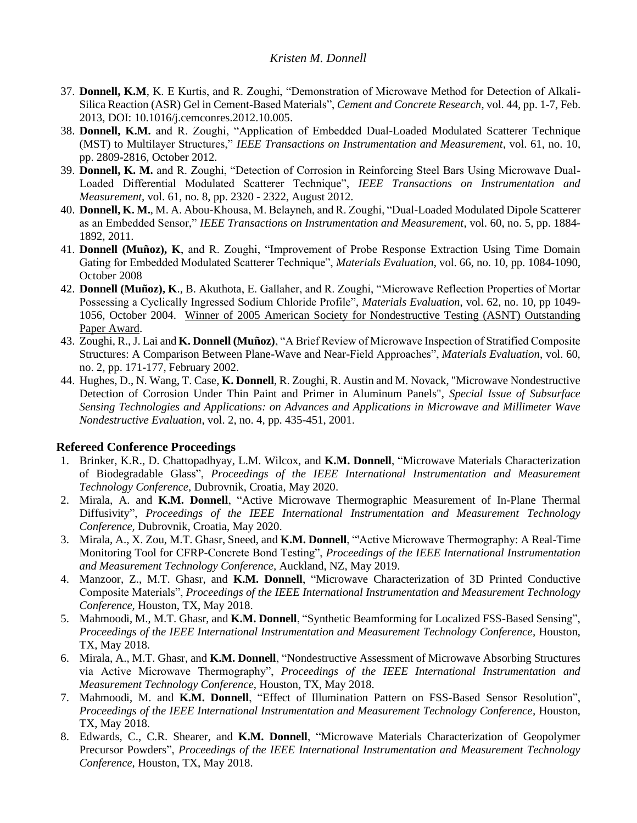- 37. **Donnell, K.M**, K. E Kurtis, and R. Zoughi, "Demonstration of Microwave Method for Detection of Alkali-Silica Reaction (ASR) Gel in Cement-Based Materials", *Cement and Concrete Research*, vol. 44, pp. 1-7, Feb. 2013, DOI: 10.1016/j.cemconres.2012.10.005.
- 38. **Donnell, K.M.** and R. Zoughi, "Application of Embedded Dual-Loaded Modulated Scatterer Technique (MST) to Multilayer Structures," *IEEE Transactions on Instrumentation and Measurement*, vol. 61, no. 10, pp. 2809-2816, October 2012.
- 39. **Donnell, K. M.** and R. Zoughi, "Detection of Corrosion in Reinforcing Steel Bars Using Microwave Dual-Loaded Differential Modulated Scatterer Technique", *IEEE Transactions on Instrumentation and Measurement,* vol. 61, no. 8, pp. 2320 - 2322, August 2012.
- 40. **Donnell, K. M.**, M. A. Abou-Khousa, M. Belayneh, and R. Zoughi, "Dual-Loaded Modulated Dipole Scatterer as an Embedded Sensor," *IEEE Transactions on Instrumentation and Measurement,* vol. 60, no. 5, pp. 1884- 1892, 2011.
- 41. **Donnell (Muñoz), K**, and R. Zoughi, "Improvement of Probe Response Extraction Using Time Domain Gating for Embedded Modulated Scatterer Technique", *Materials Evaluation*, vol. 66, no. 10, pp. 1084-1090, October 2008
- 42. **Donnell (Muñoz), K**., B. Akuthota, E. Gallaher, and R. Zoughi, "Microwave Reflection Properties of Mortar Possessing a Cyclically Ingressed Sodium Chloride Profile", *Materials Evaluation*, vol. 62, no. 10, pp 1049- 1056, October 2004. Winner of 2005 American Society for Nondestructive Testing (ASNT) Outstanding Paper Award.
- 43. Zoughi, R., J. Lai and **K. Donnell (Muñoz)**, "A Brief Review of Microwave Inspection of Stratified Composite Structures: A Comparison Between Plane-Wave and Near-Field Approaches", *Materials Evaluation*, vol. 60, no. 2, pp. 171-177, February 2002.
- 44. Hughes, D., N. Wang, T. Case, **K. Donnell**, R. Zoughi, R. Austin and M. Novack, "Microwave Nondestructive Detection of Corrosion Under Thin Paint and Primer in Aluminum Panels", *Special Issue of Subsurface Sensing Technologies and Applications: on Advances and Applications in Microwave and Millimeter Wave Nondestructive Evaluation*, vol. 2, no. 4, pp. 435-451, 2001.

# **Refereed Conference Proceedings**

- 1. Brinker, K.R., D. Chattopadhyay, L.M. Wilcox, and **K.M. Donnell**, "Microwave Materials Characterization of Biodegradable Glass", *Proceedings of the IEEE International Instrumentation and Measurement Technology Conference,* Dubrovnik, Croatia, May 2020.
- 2. Mirala, A. and **K.M. Donnell**, "Active Microwave Thermographic Measurement of In-Plane Thermal Diffusivity", *Proceedings of the IEEE International Instrumentation and Measurement Technology Conference,* Dubrovnik, Croatia, May 2020.
- 3. Mirala, A., X. Zou, M.T. Ghasr, Sneed, and **K.M. Donnell**, "'Active Microwave Thermography: A Real-Time Monitoring Tool for CFRP-Concrete Bond Testing", *Proceedings of the IEEE International Instrumentation and Measurement Technology Conference,* Auckland, NZ, May 2019.
- 4. Manzoor, Z., M.T. Ghasr, and **K.M. Donnell**, "Microwave Characterization of 3D Printed Conductive Composite Materials", *Proceedings of the IEEE International Instrumentation and Measurement Technology Conference,* Houston, TX, May 2018.
- 5. Mahmoodi, M., M.T. Ghasr, and **K.M. Donnell**, "Synthetic Beamforming for Localized FSS-Based Sensing", *Proceedings of the IEEE International Instrumentation and Measurement Technology Conference, Houston,* TX, May 2018.
- 6. Mirala, A., M.T. Ghasr, and **K.M. Donnell**, "Nondestructive Assessment of Microwave Absorbing Structures via Active Microwave Thermography", *Proceedings of the IEEE International Instrumentation and Measurement Technology Conference,* Houston, TX, May 2018.
- 7. Mahmoodi, M. and **K.M. Donnell**, "Effect of Illumination Pattern on FSS-Based Sensor Resolution", *Proceedings of the IEEE International Instrumentation and Measurement Technology Conference, Houston,* TX, May 2018.
- 8. Edwards, C., C.R. Shearer, and **K.M. Donnell**, "Microwave Materials Characterization of Geopolymer Precursor Powders", *Proceedings of the IEEE International Instrumentation and Measurement Technology Conference,* Houston, TX, May 2018.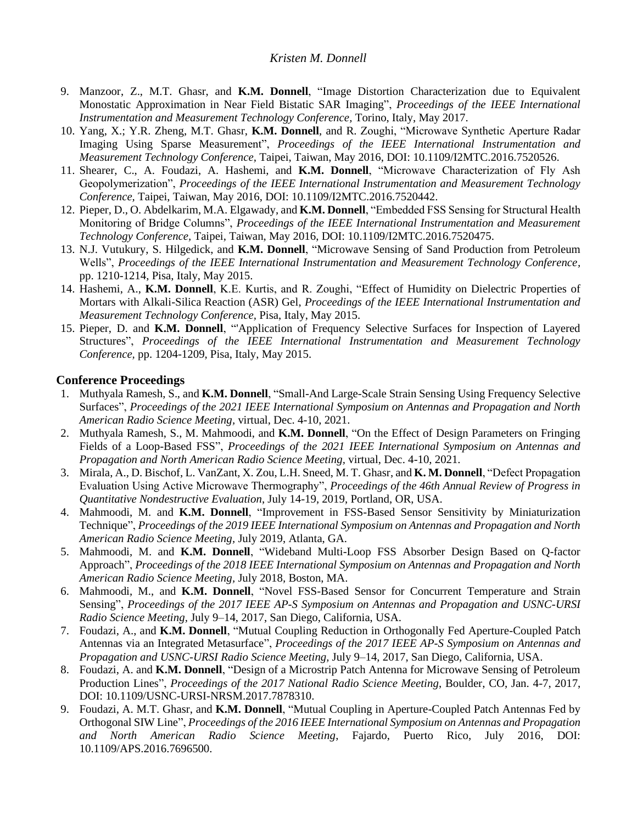- 9. Manzoor, Z., M.T. Ghasr, and **K.M. Donnell**, "Image Distortion Characterization due to Equivalent Monostatic Approximation in Near Field Bistatic SAR Imaging", *Proceedings of the IEEE International Instrumentation and Measurement Technology Conference,* Torino, Italy, May 2017.
- 10. Yang, X.; Y.R. Zheng, M.T. Ghasr, **K.M. Donnell**, and R. Zoughi, "Microwave Synthetic Aperture Radar Imaging Using Sparse Measurement", *Proceedings of the IEEE International Instrumentation and Measurement Technology Conference,* Taipei, Taiwan, May 2016, DOI: 10.1109/I2MTC.2016.7520526.
- 11. Shearer, C., A. Foudazi, A. Hashemi, and **K.M. Donnell**, "Microwave Characterization of Fly Ash Geopolymerization", *Proceedings of the IEEE International Instrumentation and Measurement Technology Conference,* Taipei, Taiwan, May 2016, DOI: 10.1109/I2MTC.2016.7520442.
- 12. Pieper, D., O. Abdelkarim, M.A. Elgawady, and **K.M. Donnell**, "Embedded FSS Sensing for Structural Health Monitoring of Bridge Columns", *Proceedings of the IEEE International Instrumentation and Measurement Technology Conference,* Taipei, Taiwan, May 2016, DOI: 10.1109/I2MTC.2016.7520475.
- 13. N.J. Vutukury, S. Hilgedick, and **K.M. Donnell**, "Microwave Sensing of Sand Production from Petroleum Wells", *Proceedings of the IEEE International Instrumentation and Measurement Technology Conference,* pp. 1210-1214, Pisa, Italy, May 2015.
- 14. Hashemi, A., **K.M. Donnell**, K.E. Kurtis, and R. Zoughi, "Effect of Humidity on Dielectric Properties of Mortars with Alkali-Silica Reaction (ASR) Gel, *Proceedings of the IEEE International Instrumentation and Measurement Technology Conference,* Pisa, Italy, May 2015.
- 15. Pieper, D. and **K.M. Donnell**, "'Application of Frequency Selective Surfaces for Inspection of Layered Structures", *Proceedings of the IEEE International Instrumentation and Measurement Technology Conference,* pp. 1204-1209, Pisa, Italy, May 2015.

### **Conference Proceedings**

- 1. Muthyala Ramesh, S., and **K.M. Donnell**, "Small-And Large-Scale Strain Sensing Using Frequency Selective Surfaces", *Proceedings of the 2021 IEEE International Symposium on Antennas and Propagation and North American Radio Science Meeting,* virtual, Dec. 4-10, 2021.
- 2. Muthyala Ramesh, S., M. Mahmoodi, and **K.M. Donnell**, "On the Effect of Design Parameters on Fringing Fields of a Loop-Based FSS", *Proceedings of the 2021 IEEE International Symposium on Antennas and Propagation and North American Radio Science Meeting,* virtual, Dec. 4-10, 2021.
- 3. Mirala, A., D. Bischof, L. VanZant, X. Zou, L.H. Sneed, M. T. Ghasr, and **K. M. Donnell**, "Defect Propagation Evaluation Using Active Microwave Thermography", *Proceedings of the 46th Annual Review of Progress in Quantitative Nondestructive Evaluation*, July 14-19, 2019, Portland, OR, USA.
- 4. Mahmoodi, M. and **K.M. Donnell**, "Improvement in FSS-Based Sensor Sensitivity by Miniaturization Technique", *Proceedings of the 2019 IEEE International Symposium on Antennas and Propagation and North American Radio Science Meeting,* July 2019, Atlanta, GA.
- 5. Mahmoodi, M. and **K.M. Donnell**, "Wideband Multi-Loop FSS Absorber Design Based on Q-factor Approach", *Proceedings of the 2018 IEEE International Symposium on Antennas and Propagation and North American Radio Science Meeting,* July 2018*,* Boston, MA.
- 6. Mahmoodi, M., and **K.M. Donnell**, "Novel FSS-Based Sensor for Concurrent Temperature and Strain Sensing", *Proceedings of the 2017 IEEE AP-S Symposium on Antennas and Propagation and USNC-URSI Radio Science Meeting,* July 9–14, 2017, San Diego, California, USA.
- 7. Foudazi, A., and **K.M. Donnell**, "Mutual Coupling Reduction in Orthogonally Fed Aperture-Coupled Patch Antennas via an Integrated Metasurface", *Proceedings of the 2017 IEEE AP-S Symposium on Antennas and Propagation and USNC-URSI Radio Science Meeting,* July 9–14, 2017, San Diego, California, USA.
- 8. Foudazi, A. and **K.M. Donnell**, "Design of a Microstrip Patch Antenna for Microwave Sensing of Petroleum Production Lines", *Proceedings of the 2017 National Radio Science Meeting*, Boulder, CO, Jan. 4-7, 2017, DOI: 10.1109/USNC-URSI-NRSM.2017.7878310.
- 9. Foudazi, A. M.T. Ghasr, and **K.M. Donnell**, "Mutual Coupling in Aperture-Coupled Patch Antennas Fed by Orthogonal SIW Line", *Proceedings of the 2016 IEEE International Symposium on Antennas and Propagation and North American Radio Science Meeting*, Fajardo, Puerto Rico, July 2016, DOI: 10.1109/APS.2016.7696500.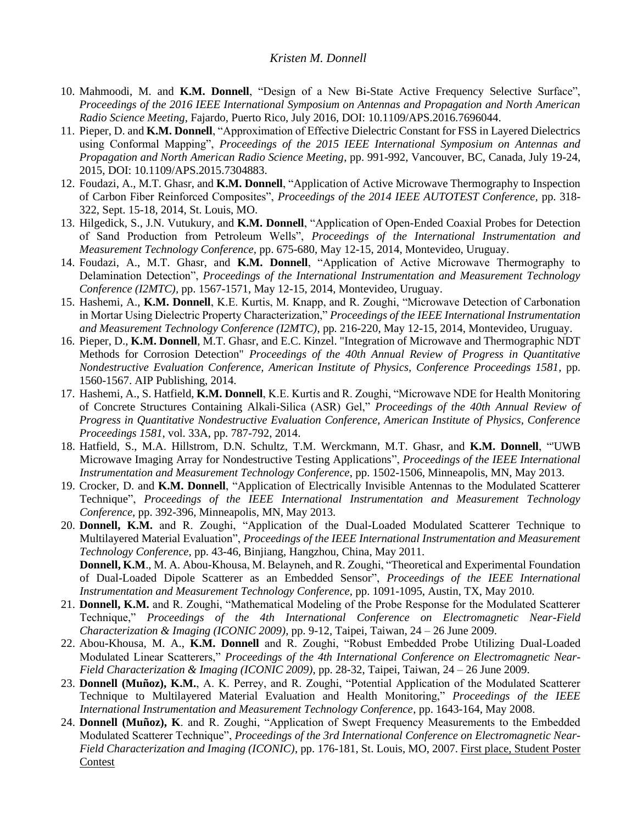- 10. Mahmoodi, M. and **K.M. Donnell**, "Design of a New Bi-State Active Frequency Selective Surface", *Proceedings of the 2016 IEEE International Symposium on Antennas and Propagation and North American Radio Science Meeting,* Fajardo, Puerto Rico, July 2016, DOI: 10.1109/APS.2016.7696044.
- 11. Pieper, D. and **K.M. Donnell**, "Approximation of Effective Dielectric Constant for FSS in Layered Dielectrics using Conformal Mapping", *Proceedings of the 2015 IEEE International Symposium on Antennas and Propagation and North American Radio Science Meeting*, pp. 991-992, Vancouver, BC, Canada, July 19-24, 2015, DOI: 10.1109/APS.2015.7304883.
- 12. Foudazi, A., M.T. Ghasr, and **K.M. Donnell**, "Application of Active Microwave Thermography to Inspection of Carbon Fiber Reinforced Composites", *Proceedings of the 2014 IEEE AUTOTEST Conference,* pp. 318- 322, Sept. 15-18, 2014, St. Louis, MO.
- 13. Hilgedick, S., J.N. Vutukury, and **K.M. Donnell**, "Application of Open-Ended Coaxial Probes for Detection of Sand Production from Petroleum Wells", *Proceedings of the International Instrumentation and Measurement Technology Conference,* pp. 675-680, May 12-15, 2014, Montevideo, Uruguay.
- 14. Foudazi, A., M.T. Ghasr, and **K.M. Donnell**, "Application of Active Microwave Thermography to Delamination Detection", *Proceedings of the International Instrumentation and Measurement Technology Conference (I2MTC),* pp. 1567-1571, May 12-15, 2014, Montevideo, Uruguay.
- 15. Hashemi, A., **K.M. Donnell**, K.E. Kurtis, M. Knapp, and R. Zoughi, "Microwave Detection of Carbonation in Mortar Using Dielectric Property Characterization," *Proceedings of the IEEE International Instrumentation and Measurement Technology Conference (I2MTC)*, pp. 216-220, May 12-15, 2014, Montevideo, Uruguay.
- 16. Pieper, D., **K.M. Donnell**, M.T. Ghasr, and E.C. Kinzel. "Integration of Microwave and Thermographic NDT Methods for Corrosion Detection" *Proceedings of the 40th Annual Review of Progress in Quantitative Nondestructive Evaluation Conference, American Institute of Physics, Conference Proceedings 1581*, pp. 1560-1567. AIP Publishing, 2014.
- 17. Hashemi, A., S. Hatfield, **K.M. Donnell**, K.E. Kurtis and R. Zoughi, "Microwave NDE for Health Monitoring of Concrete Structures Containing Alkali-Silica (ASR) Gel," *Proceedings of the 40th Annual Review of Progress in Quantitative Nondestructive Evaluation Conference, American Institute of Physics, Conference Proceedings 1581*, vol. 33A, pp. 787-792, 2014.
- 18. Hatfield, S., M.A. Hillstrom, D.N. Schultz, T.M. Werckmann, M.T. Ghasr, and **K.M. Donnell**, "'UWB Microwave Imaging Array for Nondestructive Testing Applications", *Proceedings of the IEEE International Instrumentation and Measurement Technology Conference*, pp. 1502-1506, Minneapolis, MN, May 2013.
- 19. Crocker, D. and **K.M. Donnell**, "Application of Electrically Invisible Antennas to the Modulated Scatterer Technique", *Proceedings of the IEEE International Instrumentation and Measurement Technology Conference*, pp. 392-396, Minneapolis, MN, May 2013.
- 20. **Donnell, K.M.** and R. Zoughi, "Application of the Dual-Loaded Modulated Scatterer Technique to Multilayered Material Evaluation", *Proceedings of the IEEE International Instrumentation and Measurement Technology Conference*, pp. 43-46, Binjiang, Hangzhou, China, May 2011. **Donnell, K.M**., M. A. Abou-Khousa, M. Belayneh, and R. Zoughi, "Theoretical and Experimental Foundation of Dual-Loaded Dipole Scatterer as an Embedded Sensor", *Proceedings of the IEEE International Instrumentation and Measurement Technology Conference,* pp. 1091-1095, Austin, TX, May 2010.
- 21. **Donnell, K.M.** and R. Zoughi, "Mathematical Modeling of the Probe Response for the Modulated Scatterer Technique," *Proceedings of the 4th International Conference on Electromagnetic Near-Field Characterization & Imaging (ICONIC 2009)*, pp. 9-12, Taipei, Taiwan, 24 – 26 June 2009.
- 22. Abou-Khousa, M. A., **K.M. Donnell** and R. Zoughi, "Robust Embedded Probe Utilizing Dual-Loaded Modulated Linear Scatterers," *Proceedings of the 4th International Conference on Electromagnetic Near-Field Characterization & Imaging (ICONIC 2009)*, pp. 28-32, Taipei, Taiwan, 24 – 26 June 2009.
- 23. **Donnell (Muñoz), K.M.**, A. K. Perrey, and R. Zoughi, "Potential Application of the Modulated Scatterer Technique to Multilayered Material Evaluation and Health Monitoring," *Proceedings of the IEEE International Instrumentation and Measurement Technology Conference*, pp. 1643-164, May 2008.
- 24. **Donnell (Muñoz), K**. and R. Zoughi, "Application of Swept Frequency Measurements to the Embedded Modulated Scatterer Technique", *Proceedings of the 3rd International Conference on Electromagnetic Near-Field Characterization and Imaging (ICONIC)*, pp. 176-181, St. Louis, MO, 2007. First place, Student Poster Contest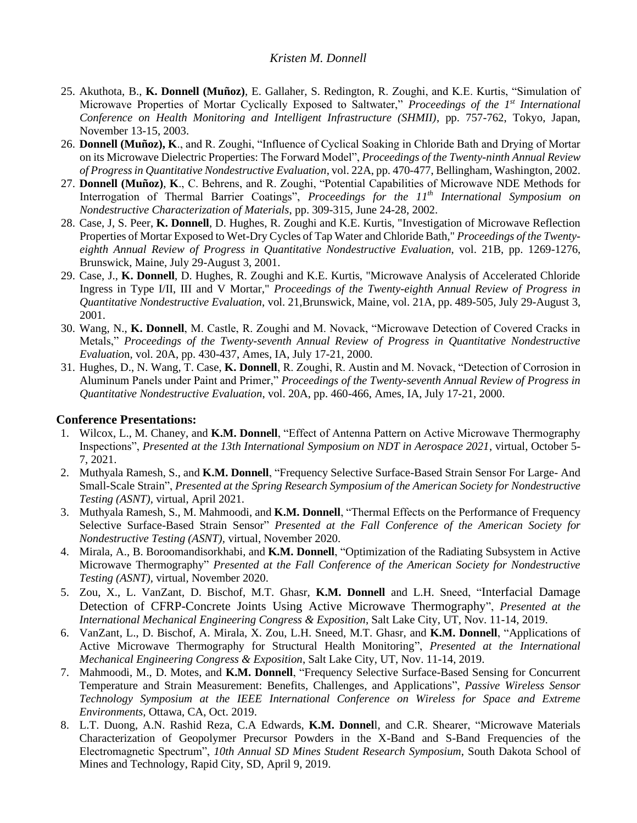- 25. Akuthota, B., **K. Donnell (Muñoz)**, E. Gallaher, S. Redington, R. Zoughi, and K.E. Kurtis, "Simulation of Microwave Properties of Mortar Cyclically Exposed to Saltwater," *Proceedings of the 1st International Conference on Health Monitoring and Intelligent Infrastructure (SHMII)*, pp. 757-762, Tokyo, Japan, November 13-15, 2003.
- 26. **Donnell (Muñoz), K**., and R. Zoughi, "Influence of Cyclical Soaking in Chloride Bath and Drying of Mortar on its Microwave Dielectric Properties: The Forward Model", *Proceedings of the Twenty-ninth Annual Review of Progress in Quantitative Nondestructive Evaluation*, vol. 22A, pp. 470-477, Bellingham, Washington, 2002.
- 27. **Donnell (Muñoz)**, **K**., C. Behrens, and R. Zoughi, "Potential Capabilities of Microwave NDE Methods for Interrogation of Thermal Barrier Coatings", *Proceedings for the 11th International Symposium on Nondestructive Characterization of Materials*, pp. 309-315, June 24-28, 2002.
- 28. Case, J, S. Peer, **K. Donnell**, D. Hughes, R. Zoughi and K.E. Kurtis, "Investigation of Microwave Reflection Properties of Mortar Exposed to Wet-Dry Cycles of Tap Water and Chloride Bath," *Proceedings of the Twentyeighth Annual Review of Progress in Quantitative Nondestructive Evaluation*, vol. 21B, pp. 1269-1276, Brunswick, Maine, July 29-August 3, 2001.
- 29. Case, J., **K. Donnell**, D. Hughes, R. Zoughi and K.E. Kurtis, "Microwave Analysis of Accelerated Chloride Ingress in Type I/II, III and V Mortar," *Proceedings of the Twenty-eighth Annual Review of Progress in Quantitative Nondestructive Evaluation*, vol. 21,Brunswick, Maine, vol. 21A, pp. 489-505, July 29-August 3, 2001.
- 30. Wang, N., **K. Donnell**, M. Castle, R. Zoughi and M. Novack, "Microwave Detection of Covered Cracks in Metals," *Proceedings of the Twenty-seventh Annual Review of Progress in Quantitative Nondestructive Evaluatio*n, vol. 20A, pp. 430-437, Ames, IA, July 17-21, 2000.
- 31. Hughes, D., N. Wang, T. Case, **K. Donnell**, R. Zoughi, R. Austin and M. Novack, "Detection of Corrosion in Aluminum Panels under Paint and Primer," *Proceedings of the Twenty-seventh Annual Review of Progress in Quantitative Nondestructive Evaluation*, vol. 20A, pp. 460-466, Ames, IA, July 17-21, 2000.

# **Conference Presentations:**

- 1. Wilcox, L., M. Chaney, and **K.M. Donnell**, "Effect of Antenna Pattern on Active Microwave Thermography Inspections", *Presented at the 13th International Symposium on NDT in Aerospace 2021*, virtual, October 5- 7, 2021.
- 2. Muthyala Ramesh, S., and **K.M. Donnell**, "Frequency Selective Surface-Based Strain Sensor For Large- And Small-Scale Strain", *Presented at the Spring Research Symposium of the American Society for Nondestructive Testing (ASNT),* virtual, April 2021.
- 3. Muthyala Ramesh, S., M. Mahmoodi, and **K.M. Donnell**, "Thermal Effects on the Performance of Frequency Selective Surface-Based Strain Sensor" *Presented at the Fall Conference of the American Society for Nondestructive Testing (ASNT),* virtual, November 2020.
- 4. Mirala, A., B. Boroomandisorkhabi, and **K.M. Donnell**, "Optimization of the Radiating Subsystem in Active Microwave Thermography" *Presented at the Fall Conference of the American Society for Nondestructive Testing (ASNT),* virtual, November 2020.
- 5. Zou, X., L. VanZant, D. Bischof, M.T. Ghasr, **K.M. Donnell** and L.H. Sneed, "Interfacial Damage Detection of CFRP-Concrete Joints Using Active Microwave Thermography", *Presented at the International Mechanical Engineering Congress & Exposition*, Salt Lake City, UT, Nov. 11-14, 2019.
- 6. VanZant, L., D. Bischof, A. Mirala, X. Zou, L.H. Sneed, M.T. Ghasr, and **K.M. Donnell**, "Applications of Active Microwave Thermography for Structural Health Monitoring", *Presented at the International Mechanical Engineering Congress & Exposition*, Salt Lake City, UT, Nov. 11-14, 2019.
- 7. Mahmoodi, M., D. Motes, and **K.M. Donnell**, "Frequency Selective Surface-Based Sensing for Concurrent Temperature and Strain Measurement: Benefits, Challenges, and Applications", *Passive Wireless Sensor Technology Symposium at the IEEE International Conference on Wireless for Space and Extreme Environments,* Ottawa, CA, Oct. 2019.
- 8. L.T. Duong, A.N. Rashid Reza, C.A Edwards, **K.M. Donnel**l, and C.R. Shearer, "Microwave Materials Characterization of Geopolymer Precursor Powders in the X-Band and S-Band Frequencies of the Electromagnetic Spectrum", *10th Annual SD Mines Student Research Symposium*, South Dakota School of Mines and Technology, Rapid City, SD, April 9, 2019.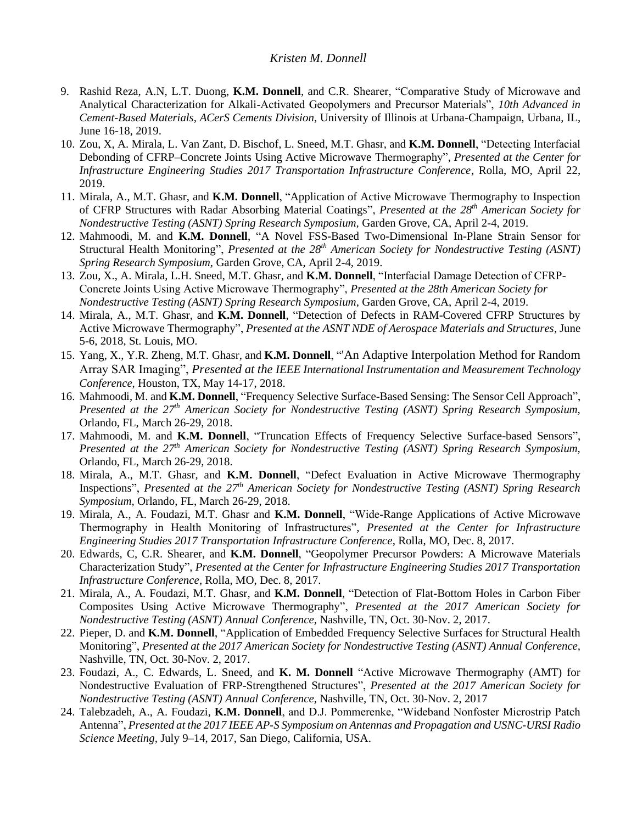- 9. Rashid Reza, A.N, L.T. Duong, **K.M. Donnell**, and C.R. Shearer, "Comparative Study of Microwave and Analytical Characterization for Alkali-Activated Geopolymers and Precursor Materials", *10th Advanced in Cement-Based Materials, ACerS Cements Division*, University of Illinois at Urbana-Champaign, Urbana, IL, June 16-18, 2019.
- 10. Zou, X, A. Mirala, L. Van Zant, D. Bischof, L. Sneed, M.T. Ghasr, and **K.M. Donnell**, "Detecting Interfacial Debonding of CFRP–Concrete Joints Using Active Microwave Thermography", *Presented at the Center for Infrastructure Engineering Studies 2017 Transportation Infrastructure Conference*, Rolla, MO, April 22, 2019.
- 11. Mirala, A., M.T. Ghasr, and **K.M. Donnell**, "Application of Active Microwave Thermography to Inspection of CFRP Structures with Radar Absorbing Material Coatings", *Presented at the 28<sup>th</sup> American Society for Nondestructive Testing (ASNT) Spring Research Symposium,* Garden Grove, CA, April 2-4, 2019.
- 12. Mahmoodi, M. and **K.M. Donnell**, "A Novel FSS-Based Two-Dimensional In-Plane Strain Sensor for Structural Health Monitoring", *Presented at the 28<sup>th</sup> American Society for Nondestructive Testing (ASNT) Spring Research Symposium,* Garden Grove, CA, April 2-4, 2019.
- 13. Zou, X., A. Mirala, L.H. Sneed, M.T. Ghasr, and **K.M. Donnell**, "Interfacial Damage Detection of CFRP-Concrete Joints Using Active Microwave Thermography", *Presented at the 28th American Society for Nondestructive Testing (ASNT) Spring Research Symposium*, Garden Grove, CA, April 2-4, 2019.
- 14. Mirala, A., M.T. Ghasr, and **K.M. Donnell**, "Detection of Defects in RAM-Covered CFRP Structures by Active Microwave Thermography", *Presented at the ASNT NDE of Aerospace Materials and Structures*, June 5-6, 2018, St. Louis, MO.
- 15. Yang, X., Y.R. Zheng, M.T. Ghasr, and **K.M. Donnell**, "'An Adaptive Interpolation Method for Random Array SAR Imaging", *Presented at the IEEE International Instrumentation and Measurement Technology Conference*, Houston, TX, May 14-17, 2018.
- 16. Mahmoodi, M. and **K.M. Donnell**, "Frequency Selective Surface-Based Sensing: The Sensor Cell Approach", *Presented at the 27th American Society for Nondestructive Testing (ASNT) Spring Research Symposium,*  Orlando, FL, March 26-29, 2018.
- 17. Mahmoodi, M. and **K.M. Donnell**, "Truncation Effects of Frequency Selective Surface-based Sensors", *Presented at the 27<sup>th</sup> American Society for Nondestructive Testing (ASNT) Spring Research Symposium,* Orlando, FL, March 26-29, 2018.
- 18. Mirala, A., M.T. Ghasr, and **K.M. Donnell**, "Defect Evaluation in Active Microwave Thermography Inspections", *Presented at the 27<sup>th</sup> American Society for Nondestructive Testing (ASNT) Spring Research Symposium,* Orlando, FL, March 26-29, 2018.
- 19. Mirala, A., A. Foudazi, M.T. Ghasr and **K.M. Donnell**, "Wide-Range Applications of Active Microwave Thermography in Health Monitoring of Infrastructures", *Presented at the Center for Infrastructure Engineering Studies 2017 Transportation Infrastructure Conference*, Rolla, MO, Dec. 8, 2017.
- 20. Edwards, C, C.R. Shearer, and **K.M. Donnell**, "Geopolymer Precursor Powders: A Microwave Materials Characterization Study", *Presented at the Center for Infrastructure Engineering Studies 2017 Transportation Infrastructure Conference*, Rolla, MO, Dec. 8, 2017.
- 21. Mirala, A., A. Foudazi, M.T. Ghasr, and **K.M. Donnell**, "Detection of Flat-Bottom Holes in Carbon Fiber Composites Using Active Microwave Thermography", *Presented at the 2017 American Society for Nondestructive Testing (ASNT) Annual Conference,* Nashville, TN, Oct. 30-Nov. 2, 2017.
- 22. Pieper, D. and **K.M. Donnell**, "Application of Embedded Frequency Selective Surfaces for Structural Health Monitoring", *Presented at the 2017 American Society for Nondestructive Testing (ASNT) Annual Conference,*  Nashville, TN, Oct. 30-Nov. 2, 2017.
- 23. Foudazi, A., C. Edwards, L. Sneed, and **K. M. Donnell** "Active Microwave Thermography (AMT) for Nondestructive Evaluation of FRP-Strengthened Structures", *Presented at the 2017 American Society for Nondestructive Testing (ASNT) Annual Conference,* Nashville, TN, Oct. 30-Nov. 2, 2017
- 24. Talebzadeh, A., A. Foudazi, **K.M. Donnell**, and D.J. Pommerenke, "Wideband Nonfoster Microstrip Patch Antenna", *Presented at the 2017 IEEE AP-S Symposium on Antennas and Propagation and USNC-URSI Radio Science Meeting,* July 9–14, 2017, San Diego, California, USA.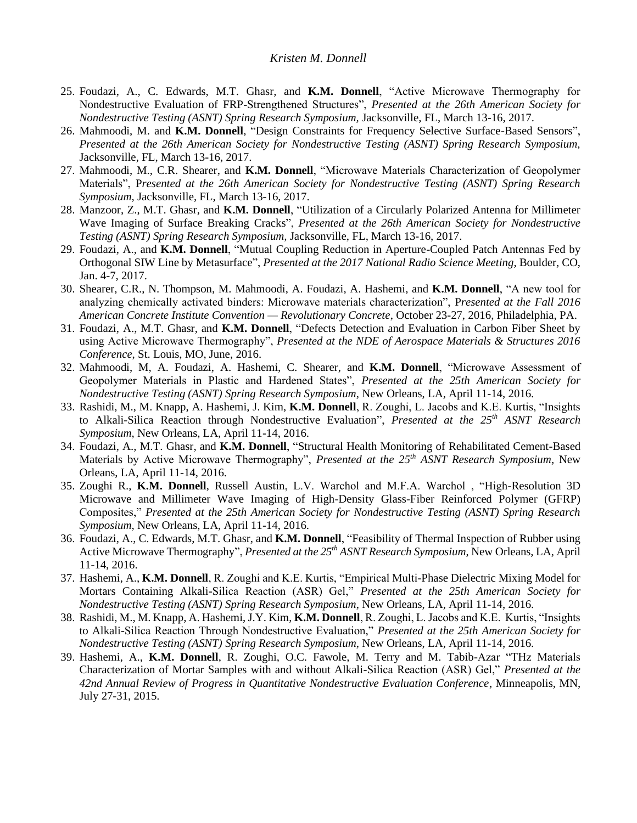- 25. Foudazi, A., C. Edwards, M.T. Ghasr, and **K.M. Donnell**, "Active Microwave Thermography for Nondestructive Evaluation of FRP-Strengthened Structures", *Presented at the 26th American Society for Nondestructive Testing (ASNT) Spring Research Symposium,* Jacksonville, FL, March 13-16, 2017.
- 26. Mahmoodi, M. and **K.M. Donnell**, "Design Constraints for Frequency Selective Surface-Based Sensors", *Presented at the 26th American Society for Nondestructive Testing (ASNT) Spring Research Symposium,*  Jacksonville*,* FL, March 13-16, 2017.
- 27. Mahmoodi, M., C.R. Shearer, and **K.M. Donnell**, "Microwave Materials Characterization of Geopolymer Materials", P*resented at the 26th American Society for Nondestructive Testing (ASNT) Spring Research Symposium,* Jacksonville, FL, March 13-16, 2017.
- 28. Manzoor, Z., M.T. Ghasr, and **K.M. Donnell**, "Utilization of a Circularly Polarized Antenna for Millimeter Wave Imaging of Surface Breaking Cracks", *Presented at the 26th American Society for Nondestructive Testing (ASNT) Spring Research Symposium,* Jacksonville, FL, March 13-16, 2017.
- 29. Foudazi, A., and **K.M. Donnell**, "Mutual Coupling Reduction in Aperture-Coupled Patch Antennas Fed by Orthogonal SIW Line by Metasurface", *Presented at the 2017 National Radio Science Meeting*, Boulder, CO, Jan. 4-7, 2017.
- 30. Shearer, C.R., N. Thompson, M. Mahmoodi, A. Foudazi, A. Hashemi, and **K.M. Donnell**, "A new tool for analyzing chemically activated binders: Microwave materials characterization", P*resented at the Fall 2016 American Concrete Institute Convention — Revolutionary Concrete*, October 23-27, 2016, Philadelphia, PA.
- 31. Foudazi, A., M.T. Ghasr, and **K.M. Donnell**, "Defects Detection and Evaluation in Carbon Fiber Sheet by using Active Microwave Thermography", *Presented at the NDE of Aerospace Materials & Structures 2016 Conference*, St. Louis, MO, June, 2016.
- 32. Mahmoodi, M, A. Foudazi, A. Hashemi, C. Shearer, and **K.M. Donnell**, "Microwave Assessment of Geopolymer Materials in Plastic and Hardened States", *Presented at the 25th American Society for Nondestructive Testing (ASNT) Spring Research Symposium*, New Orleans, LA, April 11-14, 2016.
- 33. Rashidi, M., M. Knapp, A. Hashemi, J. Kim, **K.M. Donnell**, R. Zoughi, L. Jacobs and K.E. Kurtis, "Insights to Alkali-Silica Reaction through Nondestructive Evaluation", *Presented at the 25 th ASNT Research Symposium*, New Orleans, LA, April 11-14, 2016.
- 34. Foudazi, A., M.T. Ghasr, and **K.M. Donnell**, "Structural Health Monitoring of Rehabilitated Cement-Based Materials by Active Microwave Thermography", *Presented at the 25 th ASNT Research Symposium*, New Orleans, LA, April 11-14, 2016.
- 35. Zoughi R., **K.M. Donnell**, Russell Austin, L.V. Warchol and M.F.A. Warchol , "High-Resolution 3D Microwave and Millimeter Wave Imaging of High-Density Glass-Fiber Reinforced Polymer (GFRP) Composites," *Presented at the 25th American Society for Nondestructive Testing (ASNT) Spring Research Symposium*, New Orleans, LA, April 11-14, 2016.
- 36. Foudazi, A., C. Edwards, M.T. Ghasr, and **K.M. Donnell**, "Feasibility of Thermal Inspection of Rubber using Active Microwave Thermography", *Presented at the 25 th ASNT Research Symposium*, New Orleans, LA, April 11-14, 2016.
- 37. Hashemi, A., **K.M. Donnell**, R. Zoughi and K.E. Kurtis, "Empirical Multi-Phase Dielectric Mixing Model for Mortars Containing Alkali-Silica Reaction (ASR) Gel," *Presented at the 25th American Society for Nondestructive Testing (ASNT) Spring Research Symposium*, New Orleans, LA, April 11-14, 2016.
- 38. Rashidi, M., M. Knapp, A. Hashemi, J.Y. Kim, **K.M. Donnell**, R. Zoughi, L. Jacobs and K.E. Kurtis, "Insights to Alkali-Silica Reaction Through Nondestructive Evaluation," *Presented at the 25th American Society for Nondestructive Testing (ASNT) Spring Research Symposium*, New Orleans, LA, April 11-14, 2016.
- 39. Hashemi, A., **K.M. Donnell**, R. Zoughi, O.C. Fawole, M. Terry and M. Tabib-Azar "THz Materials Characterization of Mortar Samples with and without Alkali-Silica Reaction (ASR) Gel," *Presented at the 42nd Annual Review of Progress in Quantitative Nondestructive Evaluation Conference*, Minneapolis, MN, July 27-31, 2015.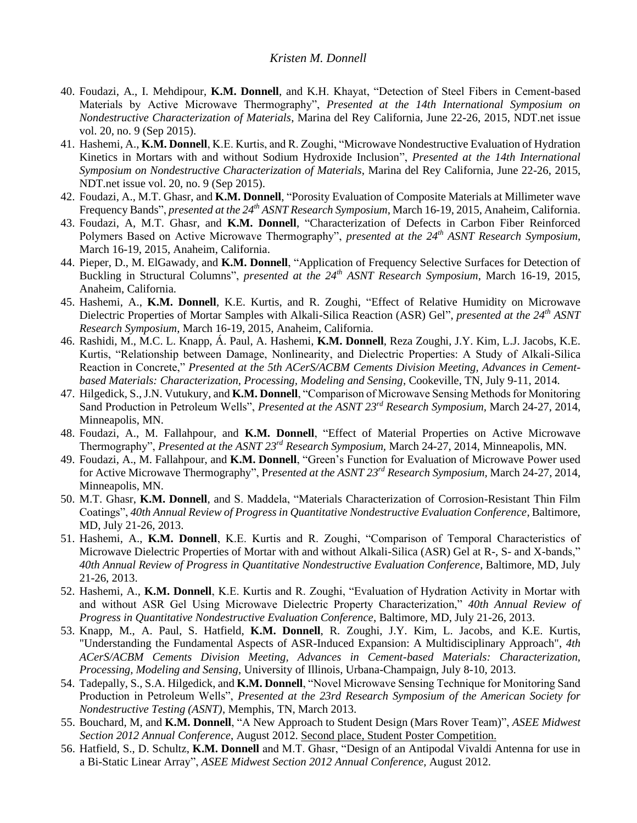- 40. Foudazi, A., I. Mehdipour, **K.M. Donnell**, and K.H. Khayat, "Detection of Steel Fibers in Cement-based Materials by Active Microwave Thermography", *Presented at the 14th International Symposium on Nondestructive Characterization of Materials*, Marina del Rey California, June 22-26, 2015, NDT.net issue vol. 20, no. 9 (Sep 2015).
- 41. Hashemi, A., **K.M. Donnell**, K.E. Kurtis, and R. Zoughi, "Microwave Nondestructive Evaluation of Hydration Kinetics in Mortars with and without Sodium Hydroxide Inclusion", *Presented at the 14th International Symposium on Nondestructive Characterization of Materials*, Marina del Rey California, June 22-26, 2015, NDT.net issue vol. 20, no. 9 (Sep 2015).
- 42. Foudazi, A., M.T. Ghasr, and **K.M. Donnell**, "Porosity Evaluation of Composite Materials at Millimeter wave Frequency Bands", *presented at the 24th ASNT Research Symposium*, March 16-19, 2015, Anaheim, California.
- 43. Foudazi, A, M.T. Ghasr, and **K.M. Donnell**, "Characterization of Defects in Carbon Fiber Reinforced Polymers Based on Active Microwave Thermography", *presented at the 24th ASNT Research Symposium*, March 16-19, 2015, Anaheim, California.
- 44. Pieper, D., M. ElGawady, and **K.M. Donnell**, "Application of Frequency Selective Surfaces for Detection of Buckling in Structural Columns", *presented at the 24th ASNT Research Symposium*, March 16-19, 2015, Anaheim, California.
- 45. Hashemi, A., **K.M. Donnell**, K.E. Kurtis, and R. Zoughi, "Effect of Relative Humidity on Microwave Dielectric Properties of Mortar Samples with Alkali-Silica Reaction (ASR) Gel", *presented at the 24th ASNT Research Symposium*, March 16-19, 2015, Anaheim, California.
- 46. Rashidi, M., M.C. L. Knapp, Á. Paul, A. Hashemi, **K.M. Donnell**, Reza Zoughi, J.Y. Kim, L.J. Jacobs, K.E. Kurtis, "Relationship between Damage, Nonlinearity, and Dielectric Properties: A Study of Alkali-Silica Reaction in Concrete," *Presented at the 5th ACerS/ACBM Cements Division Meeting, Advances in Cementbased Materials: Characterization, Processing, Modeling and Sensing*, Cookeville, TN, July 9-11, 2014.
- 47. Hilgedick, S., J.N. Vutukury, and **K.M. Donnell**, "Comparison of Microwave Sensing Methods for Monitoring Sand Production in Petroleum Wells", *Presented at the ASNT 23rd Research Symposium,* March 24-27, 2014, Minneapolis, MN.
- 48. Foudazi, A., M. Fallahpour, and **K.M. Donnell**, "Effect of Material Properties on Active Microwave Thermography", *Presented at the ASNT 23rd Research Symposium,* March 24-27, 2014, Minneapolis, MN*.*
- 49. Foudazi, A., M. Fallahpour, and **K.M. Donnell**, "Green's Function for Evaluation of Microwave Power used for Active Microwave Thermography", P*resented at the ASNT 23rd Research Symposium,* March 24-27, 2014, Minneapolis, MN.
- 50. M.T. Ghasr, **K.M. Donnell**, and S. Maddela, "Materials Characterization of Corrosion-Resistant Thin Film Coatings", *40th Annual Review of Progress in Quantitative Nondestructive Evaluation Conference*, Baltimore, MD, July 21-26, 2013.
- 51. Hashemi, A., **K.M. Donnell**, K.E. Kurtis and R. Zoughi, "Comparison of Temporal Characteristics of Microwave Dielectric Properties of Mortar with and without Alkali-Silica (ASR) Gel at R-, S- and X-bands," *40th Annual Review of Progress in Quantitative Nondestructive Evaluation Conference*, Baltimore, MD, July 21-26, 2013.
- 52. Hashemi, A., **K.M. Donnell**, K.E. Kurtis and R. Zoughi, "Evaluation of Hydration Activity in Mortar with and without ASR Gel Using Microwave Dielectric Property Characterization," *40th Annual Review of Progress in Quantitative Nondestructive Evaluation Conference*, Baltimore, MD, July 21-26, 2013.
- 53. Knapp, M., A. Paul, S. Hatfield, **K.M. Donnell**, R. Zoughi, J.Y. Kim, L. Jacobs, and K.E. Kurtis, "Understanding the Fundamental Aspects of ASR-Induced Expansion: A Multidisciplinary Approach", *4th ACerS/ACBM Cements Division Meeting, Advances in Cement-based Materials: Characterization, Processing, Modeling and Sensing*, University of Illinois, Urbana-Champaign, July 8-10, 2013.
- 54. Tadepally, S., S.A. Hilgedick, and **K.M. Donnell**, "Novel Microwave Sensing Technique for Monitoring Sand Production in Petroleum Wells", *Presented at the 23rd Research Symposium of the American Society for Nondestructive Testing (ASNT)*, Memphis, TN, March 2013.
- 55. Bouchard, M, and **K.M. Donnell**, "A New Approach to Student Design (Mars Rover Team)", *ASEE Midwest Section 2012 Annual Conference*, August 2012. Second place, Student Poster Competition.
- 56. Hatfield, S., D. Schultz, **K.M. Donnell** and M.T. Ghasr, "Design of an Antipodal Vivaldi Antenna for use in a Bi-Static Linear Array", *ASEE Midwest Section 2012 Annual Conference,* August 2012.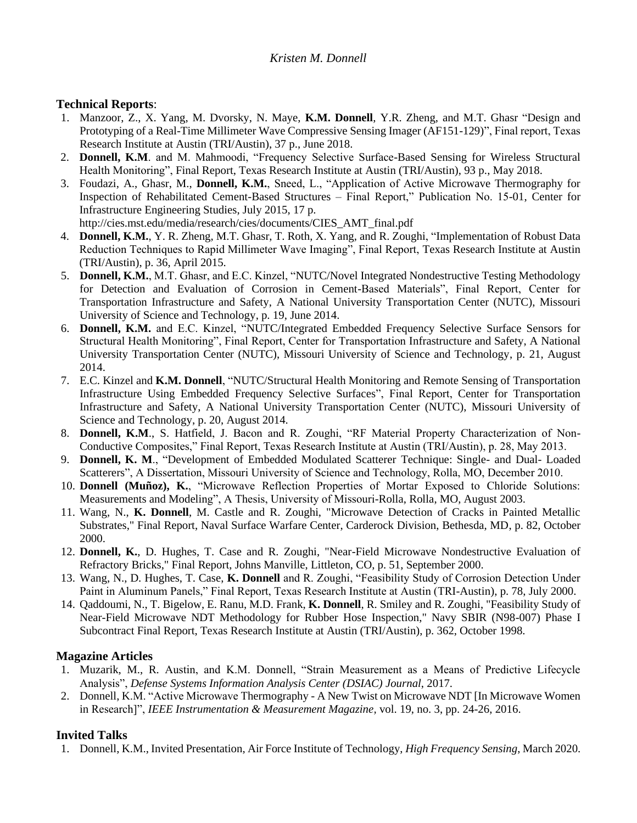## **Technical Reports**:

- 1. Manzoor, Z., X. Yang, M. Dvorsky, N. Maye, **K.M. Donnell**, Y.R. Zheng, and M.T. Ghasr "Design and Prototyping of a Real-Time Millimeter Wave Compressive Sensing Imager (AF151-129)", Final report, Texas Research Institute at Austin (TRI/Austin), 37 p., June 2018.
- 2. **Donnell, K.M**. and M. Mahmoodi, "Frequency Selective Surface-Based Sensing for Wireless Structural Health Monitoring", Final Report, Texas Research Institute at Austin (TRI/Austin), 93 p., May 2018.
- 3. Foudazi, A., Ghasr, M., **Donnell, K.M.**, Sneed, L., "Application of Active Microwave Thermography for Inspection of Rehabilitated Cement-Based Structures – Final Report," Publication No. 15-01, Center for Infrastructure Engineering Studies, July 2015, 17 p.
- http://cies.mst.edu/media/research/cies/documents/CIES\_AMT\_final.pdf 4. **Donnell, K.M.**, Y. R. Zheng, M.T. Ghasr, T. Roth, X. Yang, and R. Zoughi, "Implementation of Robust Data
- Reduction Techniques to Rapid Millimeter Wave Imaging", Final Report, Texas Research Institute at Austin (TRI/Austin), p. 36, April 2015.
- 5. **Donnell, K.M.**, M.T. Ghasr, and E.C. Kinzel, "NUTC/Novel Integrated Nondestructive Testing Methodology for Detection and Evaluation of Corrosion in Cement-Based Materials", Final Report, Center for Transportation Infrastructure and Safety, A National University Transportation Center (NUTC), Missouri University of Science and Technology, p. 19, June 2014.
- 6. **Donnell, K.M.** and E.C. Kinzel, "NUTC/Integrated Embedded Frequency Selective Surface Sensors for Structural Health Monitoring", Final Report, Center for Transportation Infrastructure and Safety, A National University Transportation Center (NUTC), Missouri University of Science and Technology, p. 21, August 2014.
- 7. E.C. Kinzel and **K.M. Donnell**, "NUTC/Structural Health Monitoring and Remote Sensing of Transportation Infrastructure Using Embedded Frequency Selective Surfaces", Final Report, Center for Transportation Infrastructure and Safety, A National University Transportation Center (NUTC), Missouri University of Science and Technology, p. 20, August 2014.
- 8. **Donnell, K.M**., S. Hatfield, J. Bacon and R. Zoughi, "RF Material Property Characterization of Non-Conductive Composites," Final Report, Texas Research Institute at Austin (TRI/Austin), p. 28, May 2013.
- 9. **Donnell, K. M**., "Development of Embedded Modulated Scatterer Technique: Single- and Dual- Loaded Scatterers", A Dissertation, Missouri University of Science and Technology, Rolla, MO, December 2010.
- 10. **Donnell (Muñoz), K.**, "Microwave Reflection Properties of Mortar Exposed to Chloride Solutions: Measurements and Modeling", A Thesis, University of Missouri-Rolla, Rolla, MO, August 2003.
- 11. Wang, N., **K. Donnell**, M. Castle and R. Zoughi, "Microwave Detection of Cracks in Painted Metallic Substrates," Final Report, Naval Surface Warfare Center, Carderock Division, Bethesda, MD, p. 82, October 2000.
- 12. **Donnell, K.**, D. Hughes, T. Case and R. Zoughi, "Near-Field Microwave Nondestructive Evaluation of Refractory Bricks," Final Report, Johns Manville, Littleton, CO, p. 51, September 2000.
- 13. Wang, N., D. Hughes, T. Case, **K. Donnell** and R. Zoughi, "Feasibility Study of Corrosion Detection Under Paint in Aluminum Panels," Final Report, Texas Research Institute at Austin (TRI-Austin), p. 78, July 2000.
- 14. Qaddoumi, N., T. Bigelow, E. Ranu, M.D. Frank, **K. Donnell**, R. Smiley and R. Zoughi, "Feasibility Study of Near-Field Microwave NDT Methodology for Rubber Hose Inspection," Navy SBIR (N98-007) Phase I Subcontract Final Report, Texas Research Institute at Austin (TRI/Austin), p. 362, October 1998.

# **Magazine Articles**

- 1. Muzarik, M., R. Austin, and K.M. Donnell, "Strain Measurement as a Means of Predictive Lifecycle Analysis", *Defense Systems Information Analysis Center (DSIAC) Journal*, 2017.
- 2. Donnell, K.M. "Active Microwave Thermography A New Twist on Microwave NDT [In Microwave Women in Research]", *IEEE Instrumentation & Measurement Magazine,* vol. 19, no. 3, pp. 24-26, 2016.

# **Invited Talks**

1. Donnell, K.M., Invited Presentation, Air Force Institute of Technology, *High Frequency Sensing*, March 2020.